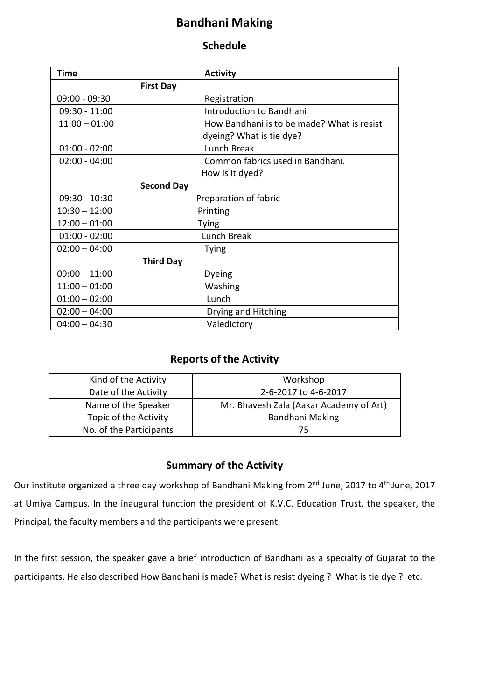# **Bandhani Making**

#### **Schedule**

| Time            | <b>Activity</b>                            |
|-----------------|--------------------------------------------|
|                 | <b>First Day</b>                           |
| $09:00 - 09:30$ | Registration                               |
| $09:30 - 11:00$ | Introduction to Bandhani                   |
| $11:00 - 01:00$ | How Bandhani is to be made? What is resist |
|                 | dyeing? What is tie dye?                   |
| $01:00 - 02:00$ | Lunch Break                                |
| $02:00 - 04:00$ | Common fabrics used in Bandhani.           |
|                 | How is it dyed?                            |
|                 | <b>Second Day</b>                          |
| $09:30 - 10:30$ | Preparation of fabric                      |
| $10:30 - 12:00$ | Printing                                   |
| $12:00 - 01:00$ | <b>Tying</b>                               |
| $01:00 - 02:00$ | Lunch Break                                |
| $02:00 - 04:00$ | <b>Tying</b>                               |
|                 | <b>Third Day</b>                           |
| $09:00 - 11:00$ | Dyeing                                     |
| $11:00 - 01:00$ | Washing                                    |
| $01:00 - 02:00$ | Lunch                                      |
| $02:00 - 04:00$ | Drying and Hitching                        |
| $04:00 - 04:30$ | Valedictory                                |

### **Reports of the Activity**

| Kind of the Activity    | Workshop                                |
|-------------------------|-----------------------------------------|
| Date of the Activity    | 2-6-2017 to 4-6-2017                    |
| Name of the Speaker     | Mr. Bhavesh Zala (Aakar Academy of Art) |
| Topic of the Activity   | Bandhani Making                         |
| No. of the Participants | 75                                      |

### **Summary of the Activity**

Our institute organized a three day workshop of Bandhani Making from 2<sup>nd</sup> June, 2017 to 4<sup>th</sup> June, 2017 at Umiya Campus. In the inaugural function the president of K.V.C. Education Trust, the speaker, the Principal, the faculty members and the participants were present.

In the first session, the speaker gave a brief introduction of Bandhani as a specialty of Gujarat to the participants. He also described How Bandhani is made? What is resist dyeing ? What is tie dye ? etc.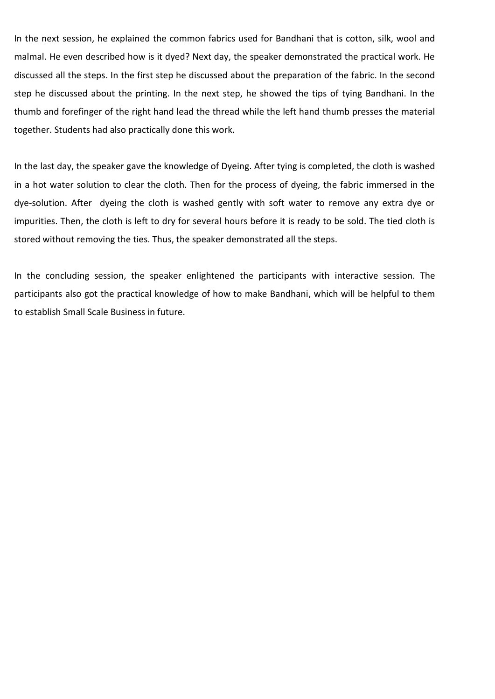In the next session, he explained the common fabrics used for Bandhani that is cotton, silk, wool and malmal. He even described how is it dyed? Next day, the speaker demonstrated the practical work. He discussed all the steps. In the first step he discussed about the preparation of the fabric. In the second step he discussed about the printing. In the next step, he showed the tips of tying Bandhani. In the thumb and forefinger of the right hand lead the thread while the left hand thumb presses the material together. Students had also practically done this work.

In the last day, the speaker gave the knowledge of Dyeing. After tying is completed, the cloth is washed in a hot water solution to clear the cloth. Then for the process of dyeing, the fabric immersed in the dye-solution. After dyeing the cloth is washed gently with soft water to remove any extra dye or impurities. Then, the cloth is left to dry for several hours before it is ready to be sold. The tied cloth is stored without removing the ties. Thus, the speaker demonstrated all the steps.

In the concluding session, the speaker enlightened the participants with interactive session. The participants also got the practical knowledge of how to make Bandhani, which will be helpful to them to establish Small Scale Business in future.